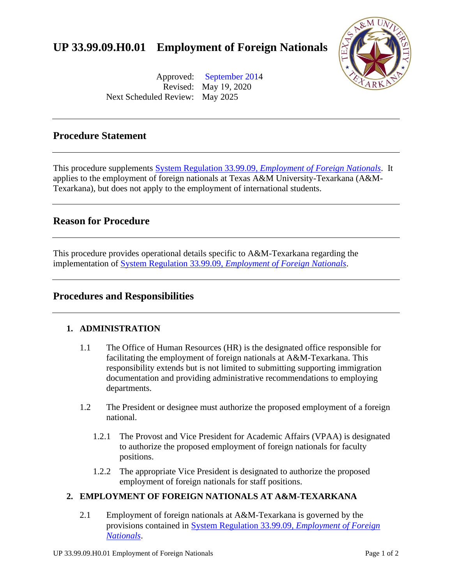# **UP 33.99.09.H0.01 Employment of Foreign Nationals**



Approved: [September 2014](https://tamut.edu/About/Administration/About/Rules/Archive_Rules_Procedure/33-99-09-H0-01_092014.pdf)  Revised: May 19, 2020 Next Scheduled Review: May 2025

### **Procedure Statement**

This procedure supplements System Regulation 33.99.09, *[Employment of Foreign Nationals](http://policies.tamus.edu/33-99-09.pdf)*. It applies to the employment of foreign nationals at Texas A&M University-Texarkana (A&M-Texarkana), but does not apply to the employment of international students.

#### **Reason for Procedure**

This procedure provides operational details specific to A&M-Texarkana regarding the implementation of System Regulation 33.99.09, *[Employment of Foreign Nationals](http://policies.tamus.edu/33-99-09.pdf)*.

#### **Procedures and Responsibilities**

#### **1. ADMINISTRATION**

- 1.1 The Office of Human Resources (HR) is the designated office responsible for facilitating the employment of foreign nationals at A&M-Texarkana. This responsibility extends but is not limited to submitting supporting immigration documentation and providing administrative recommendations to employing departments.
- 1.2 The President or designee must authorize the proposed employment of a foreign national.
	- 1.2.1 The Provost and Vice President for Academic Affairs (VPAA) is designated to authorize the proposed employment of foreign nationals for faculty positions.
	- 1.2.2 The appropriate Vice President is designated to authorize the proposed employment of foreign nationals for staff positions.

#### **2. EMPLOYMENT OF FOREIGN NATIONALS AT A&M-TEXARKANA**

2.1 Employment of foreign nationals at A&M-Texarkana is governed by the provisions contained in [System Regulation 33.99.09,](http://policies.tamus.edu/33-99-09.pdf) *Employment of Foreign [Nationals](http://policies.tamus.edu/33-99-09.pdf)*.